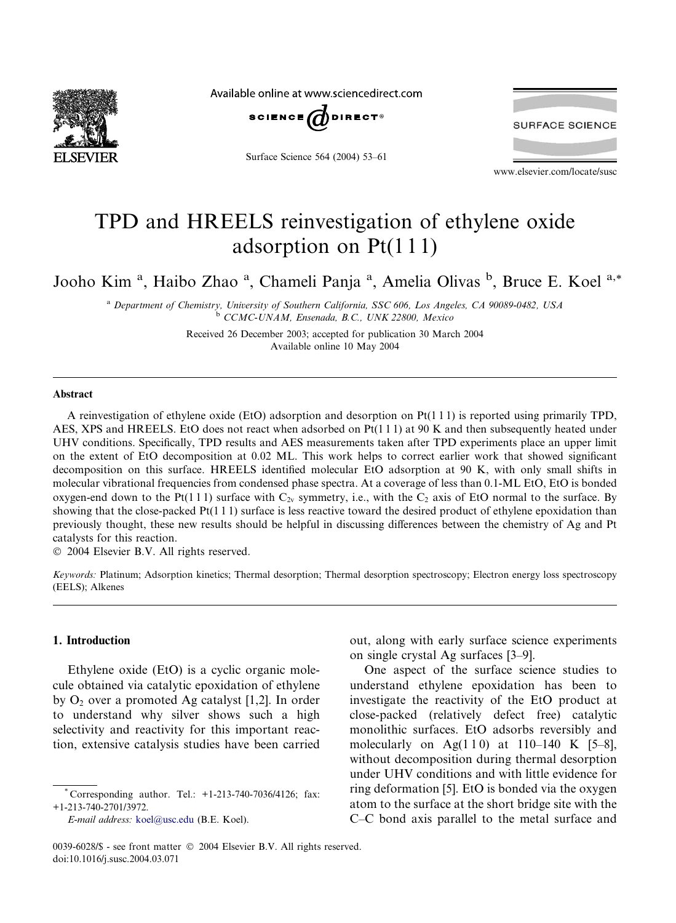

Available online at www.sciencedirect.com



Surface Science 564 (2004) 53–61

**SURFACE SCIENCE** 

www.elsevier.com/locate/susc

# TPD and HREELS reinvestigation of ethylene oxide adsorption on Pt(1 1 1)

Jooho Kim<sup>a</sup>, Haibo Zhao<sup>a</sup>, Chameli Panja<sup>a</sup>, Amelia Olivas<sup>b</sup>, Bruce E. Koel<sup>a,\*</sup>

<sup>a</sup> Department of Chemistry, University of Southern California, SSC 606, Los Angeles, CA 90089-0482, USA <sup>b</sup> CCMC-UNAM, Ensenada, B.C., UNK 22800, Mexico

> Received 26 December 2003; accepted for publication 30 March 2004 Available online 10 May 2004

## Abstract

A reinvestigation of ethylene oxide (EtO) adsorption and desorption on  $Pt(1\ 1\ 1)$  is reported using primarily TPD, AES, XPS and HREELS. EtO does not react when adsorbed on  $Pt(1 1 1)$  at 90 K and then subsequently heated under UHV conditions. Specifically, TPD results and AES measurements taken after TPD experiments place an upper limit on the extent of EtO decomposition at 0.02 ML. This work helps to correct earlier work that showed significant decomposition on this surface. HREELS identified molecular EtO adsorption at 90 K, with only small shifts in molecular vibrational frequencies from condensed phase spectra. At a coverage of less than 0.1-ML EtO, EtO is bonded oxygen-end down to the Pt(111) surface with  $C_{2v}$  symmetry, i.e., with the  $C_2$  axis of EtO normal to the surface. By showing that the close-packed Pt(1 1 1) surface is less reactive toward the desired product of ethylene epoxidation than previously thought, these new results should be helpful in discussing differences between the chemistry of Ag and Pt catalysts for this reaction.

2004 Elsevier B.V. All rights reserved.

Keywords: Platinum; Adsorption kinetics; Thermal desorption; Thermal desorption spectroscopy; Electron energy loss spectroscopy (EELS); Alkenes

# 1. Introduction

Ethylene oxide (EtO) is a cyclic organic molecule obtained via catalytic epoxidation of ethylene by  $O_2$  over a promoted Ag catalyst [1,2]. In order to understand why silver shows such a high selectivity and reactivity for this important reaction, extensive catalysis studies have been carried

out, along with early surface science experiments on single crystal Ag surfaces [3–9].

One aspect of the surface science studies to understand ethylene epoxidation has been to investigate the reactivity of the EtO product at close-packed (relatively defect free) catalytic monolithic surfaces. EtO adsorbs reversibly and molecularly on Ag(110) at 110–140 K [5–8], without decomposition during thermal desorption under UHV conditions and with little evidence for ring deformation [5]. EtO is bonded via the oxygen atom to the surface at the short bridge site with the C–C bond axis parallel to the metal surface and

Corresponding author. Tel.: +1-213-740-7036/4126; fax: +1-213-740-2701/3972.

E-mail address: [koel@usc.edu](mail to: koel@usc.edu) (B.E. Koel).

<sup>0039-6028/\$ -</sup> see front matter  $\degree$  2004 Elsevier B.V. All rights reserved. doi:10.1016/j.susc.2004.03.071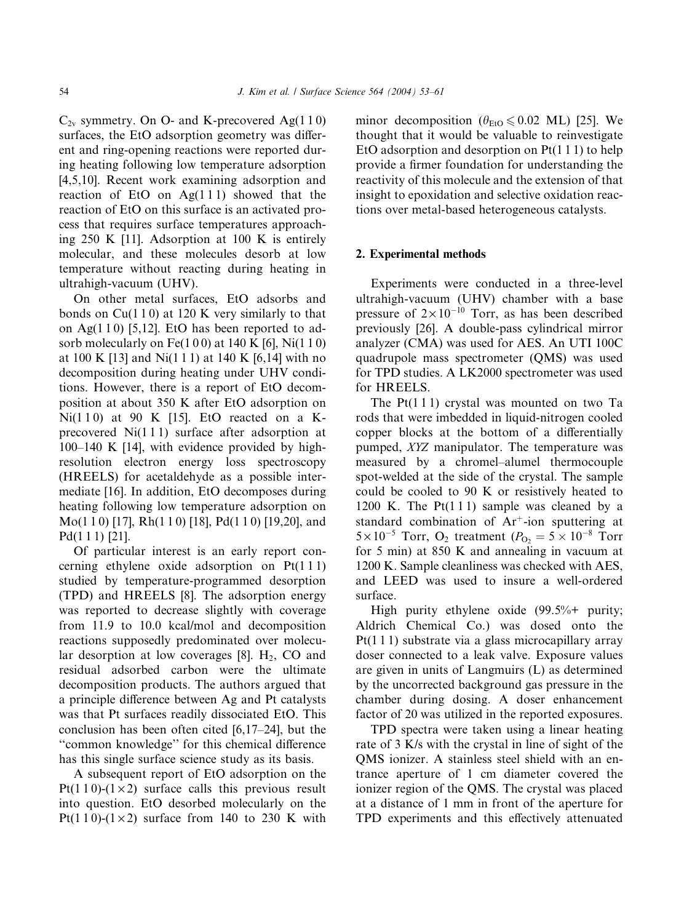$C_{2v}$  symmetry. On O- and K-precovered Ag(110) surfaces, the EtO adsorption geometry was different and ring-opening reactions were reported during heating following low temperature adsorption [4,5,10]. Recent work examining adsorption and reaction of EtO on  $Ag(111)$  showed that the reaction of EtO on this surface is an activated process that requires surface temperatures approaching 250 K [11]. Adsorption at 100 K is entirely molecular, and these molecules desorb at low temperature without reacting during heating in ultrahigh-vacuum (UHV).

On other metal surfaces, EtO adsorbs and bonds on  $Cu(110)$  at 120 K very similarly to that on Ag $(1 1 0)$  [5,12]. EtO has been reported to adsorb molecularly on Fe(1 0 0) at 140 K [6], Ni(1 1 0) at 100 K [13] and Ni(1 1 1) at 140 K [6,14] with no decomposition during heating under UHV conditions. However, there is a report of EtO decomposition at about 350 K after EtO adsorption on Ni $(110)$  at 90 K [15]. EtO reacted on a Kprecovered Ni(1 1 1) surface after adsorption at  $100-140$  K [14], with evidence provided by highresolution electron energy loss spectroscopy (HREELS) for acetaldehyde as a possible intermediate [16]. In addition, EtO decomposes during heating following low temperature adsorption on Mo(1 1 0) [17], Rh(1 1 0) [18], Pd(1 1 0) [19,20], and Pd(1 1 1) [21].

Of particular interest is an early report concerning ethylene oxide adsorption on Pt(1 1 1) studied by temperature-programmed desorption (TPD) and HREELS [8]. The adsorption energy was reported to decrease slightly with coverage from 11.9 to 10.0 kcal/mol and decomposition reactions supposedly predominated over molecular desorption at low coverages  $[8]$ . H<sub>2</sub>, CO and residual adsorbed carbon were the ultimate decomposition products. The authors argued that a principle difference between Ag and Pt catalysts was that Pt surfaces readily dissociated EtO. This conclusion has been often cited [6,17–24], but the ''common knowledge'' for this chemical difference has this single surface science study as its basis.

A subsequent report of EtO adsorption on the Pt(1 1 0)-(1  $\times$  2) surface calls this previous result into question. EtO desorbed molecularly on the Pt(110)- $(1 \times 2)$  surface from 140 to 230 K with minor decomposition ( $\theta_{EtO} \le 0.02$  ML) [25]. We thought that it would be valuable to reinvestigate EtO adsorption and desorption on  $Pt(1\ 1\ 1)$  to help provide a firmer foundation for understanding the reactivity of this molecule and the extension of that insight to epoxidation and selective oxidation reactions over metal-based heterogeneous catalysts.

## 2. Experimental methods

Experiments were conducted in a three-level ultrahigh-vacuum (UHV) chamber with a base pressure of  $2 \times 10^{-10}$  Torr, as has been described previously [26]. A double-pass cylindrical mirror analyzer (CMA) was used for AES. An UTI 100C quadrupole mass spectrometer (QMS) was used for TPD studies. A LK2000 spectrometer was used for HREELS.

The Pt(111) crystal was mounted on two Ta rods that were imbedded in liquid-nitrogen cooled copper blocks at the bottom of a differentially pumped, XYZ manipulator. The temperature was measured by a chromel–alumel thermocouple spot-welded at the side of the crystal. The sample could be cooled to 90 K or resistively heated to 1200 K. The  $Pt(111)$  sample was cleaned by a standard combination of  $Ar^+$ -ion sputtering at  $5 \times 10^{-5}$  Torr, O<sub>2</sub> treatment ( $P_{\text{O}_2} = 5 \times 10^{-8}$  Torr for 5 min) at 850 K and annealing in vacuum at 1200 K. Sample cleanliness was checked with AES, and LEED was used to insure a well-ordered surface.

High purity ethylene oxide (99.5%+ purity; Aldrich Chemical Co.) was dosed onto the Pt(1 1 1) substrate via a glass microcapillary array doser connected to a leak valve. Exposure values are given in units of Langmuirs (L) as determined by the uncorrected background gas pressure in the chamber during dosing. A doser enhancement factor of 20 was utilized in the reported exposures.

TPD spectra were taken using a linear heating rate of 3 K/s with the crystal in line of sight of the QMS ionizer. A stainless steel shield with an entrance aperture of 1 cm diameter covered the ionizer region of the QMS. The crystal was placed at a distance of 1 mm in front of the aperture for TPD experiments and this effectively attenuated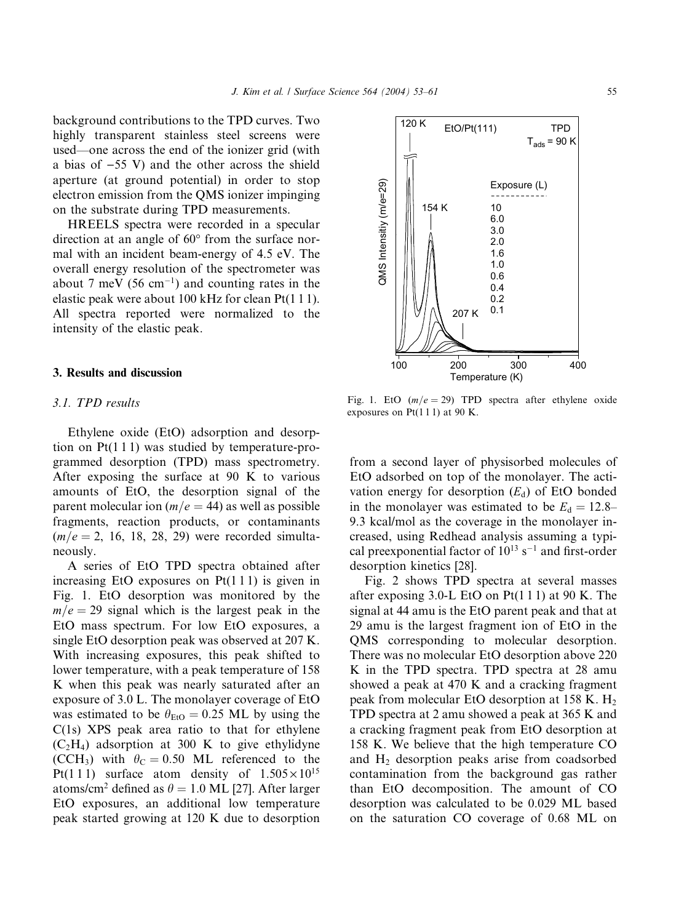background contributions to the TPD curves. Two highly transparent stainless steel screens were used––one across the end of the ionizer grid (with a bias of  $-55$  V) and the other across the shield aperture (at ground potential) in order to stop electron emission from the QMS ionizer impinging on the substrate during TPD measurements.

HREELS spectra were recorded in a specular direction at an angle of  $60^{\circ}$  from the surface normal with an incident beam-energy of 4.5 eV. The overall energy resolution of the spectrometer was about 7 meV (56 cm<sup>-1</sup>) and counting rates in the elastic peak were about 100 kHz for clean Pt(1 1 1). All spectra reported were normalized to the intensity of the elastic peak.

## 3. Results and discussion

## 3.1. TPD results

Ethylene oxide (EtO) adsorption and desorption on  $Pt(1\ 1\ 1)$  was studied by temperature-programmed desorption (TPD) mass spectrometry. After exposing the surface at 90 K to various amounts of EtO, the desorption signal of the parent molecular ion ( $m/e = 44$ ) as well as possible fragments, reaction products, or contaminants  $(m/e = 2, 16, 18, 28, 29)$  were recorded simultaneously.

A series of EtO TPD spectra obtained after increasing EtO exposures on  $Pt(1\ 1\ 1)$  is given in Fig. 1. EtO desorption was monitored by the  $m/e = 29$  signal which is the largest peak in the EtO mass spectrum. For low EtO exposures, a single EtO desorption peak was observed at 207 K. With increasing exposures, this peak shifted to lower temperature, with a peak temperature of 158 K when this peak was nearly saturated after an exposure of 3.0 L. The monolayer coverage of EtO was estimated to be  $\theta_{\text{EtO}} = 0.25$  ML by using the C(1s) XPS peak area ratio to that for ethylene  $(C_2H_4)$  adsorption at 300 K to give ethylidyne (CCH<sub>3</sub>) with  $\theta_C = 0.50$  ML referenced to the Pt(1 1 1) surface atom density of  $1.505 \times 10^{15}$ atoms/cm<sup>2</sup> defined as  $\theta = 1.0$  ML [27]. After larger EtO exposures, an additional low temperature peak started growing at 120 K due to desorption

Fig. 1. EtO  $(m/e = 29)$  TPD spectra after ethylene oxide exposures on  $Pt(111)$  at 90 K.

from a second layer of physisorbed molecules of EtO adsorbed on top of the monolayer. The activation energy for desorption  $(E_d)$  of EtO bonded in the monolayer was estimated to be  $E_d = 12.8-$ 9.3 kcal/mol as the coverage in the monolayer increased, using Redhead analysis assuming a typical preexponential factor of  $10^{13}$  s<sup>-1</sup> and first-order desorption kinetics [28].

Fig. 2 shows TPD spectra at several masses after exposing 3.0-L EtO on  $Pt(111)$  at 90 K. The signal at 44 amu is the EtO parent peak and that at 29 amu is the largest fragment ion of EtO in the QMS corresponding to molecular desorption. There was no molecular EtO desorption above 220 K in the TPD spectra. TPD spectra at 28 amu showed a peak at 470 K and a cracking fragment peak from molecular EtO desorption at 158 K.  $H_2$ TPD spectra at 2 amu showed a peak at 365 K and a cracking fragment peak from EtO desorption at 158 K. We believe that the high temperature CO and  $H_2$  desorption peaks arise from coadsorbed contamination from the background gas rather than EtO decomposition. The amount of CO desorption was calculated to be 0.029 ML based on the saturation CO coverage of 0.68 ML on

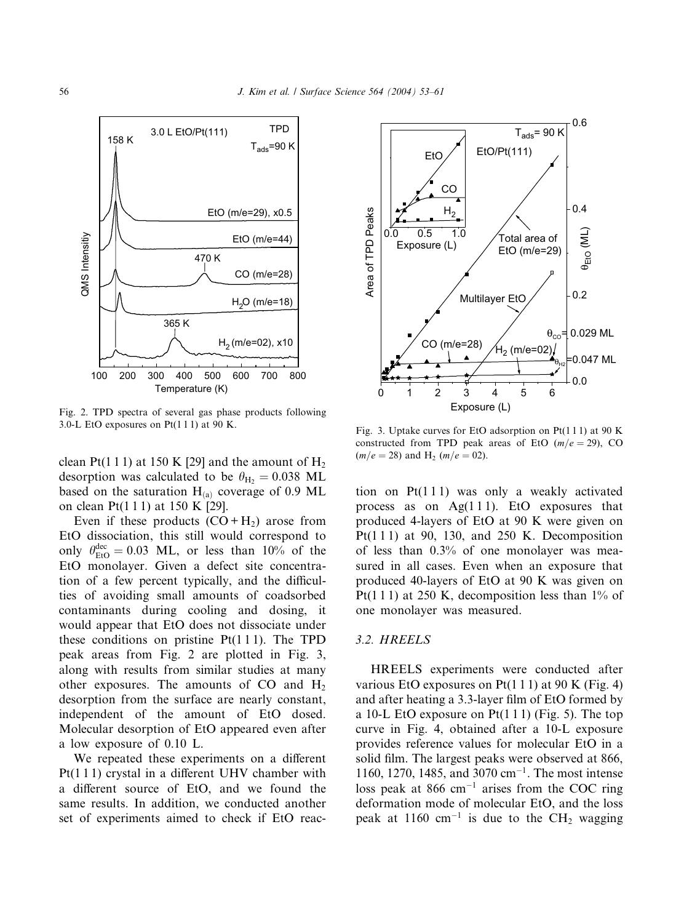

Fig. 2. TPD spectra of several gas phase products following 3.0-L EtO exposures on  $Pt(111)$  at 90 K.

clean Pt(1 1 1) at 150 K [29] and the amount of  $H_2$ desorption was calculated to be  $\theta_{\text{H}_{2}} = 0.038 \text{ ML}$ based on the saturation  $H_{(a)}$  coverage of 0.9 ML on clean Pt(1 1 1) at 150 K [29].

Even if these products  $(CO + H_2)$  arose from EtO dissociation, this still would correspond to only  $\theta_{\text{EtO}}^{\text{dec}} = 0.03$  ML, or less than 10% of the EtO monolayer. Given a defect site concentration of a few percent typically, and the difficulties of avoiding small amounts of coadsorbed contaminants during cooling and dosing, it would appear that EtO does not dissociate under these conditions on pristine  $Pt(1\ 1\ 1)$ . The TPD peak areas from Fig. 2 are plotted in Fig. 3, along with results from similar studies at many other exposures. The amounts of  $CO$  and  $H<sub>2</sub>$ desorption from the surface are nearly constant, independent of the amount of EtO dosed. Molecular desorption of EtO appeared even after a low exposure of 0.10 L.

We repeated these experiments on a different Pt(1 1 1) crystal in a different UHV chamber with a different source of EtO, and we found the same results. In addition, we conducted another set of experiments aimed to check if EtO reac-



Fig. 3. Uptake curves for EtO adsorption on  $Pt(111)$  at 90 K constructed from TPD peak areas of EtO  $(m/e = 29)$ , CO  $(m/e = 28)$  and H<sub>2</sub>  $(m/e = 02)$ .

tion on  $Pt(111)$  was only a weakly activated process as on  $Ag(111)$ . EtO exposures that produced 4-layers of EtO at 90 K were given on Pt(111) at 90, 130, and 250 K. Decomposition of less than 0.3% of one monolayer was measured in all cases. Even when an exposure that produced 40-layers of EtO at 90 K was given on Pt(1 1 1) at 250 K, decomposition less than  $1\%$  of one monolayer was measured.

### 3.2. HREELS

HREELS experiments were conducted after various EtO exposures on Pt $(1 1 1)$  at 90 K (Fig. 4) and after heating a 3.3-layer film of EtO formed by a 10-L EtO exposure on  $Pt(111)$  (Fig. 5). The top curve in Fig. 4, obtained after a 10-L exposure provides reference values for molecular EtO in a solid film. The largest peaks were observed at 866, 1160, 1270, 1485, and 3070 cm<sup>-1</sup>. The most intense loss peak at 866 cm<sup>-1</sup> arises from the COC ring deformation mode of molecular EtO, and the loss peak at 1160 cm<sup>-1</sup> is due to the CH<sub>2</sub> wagging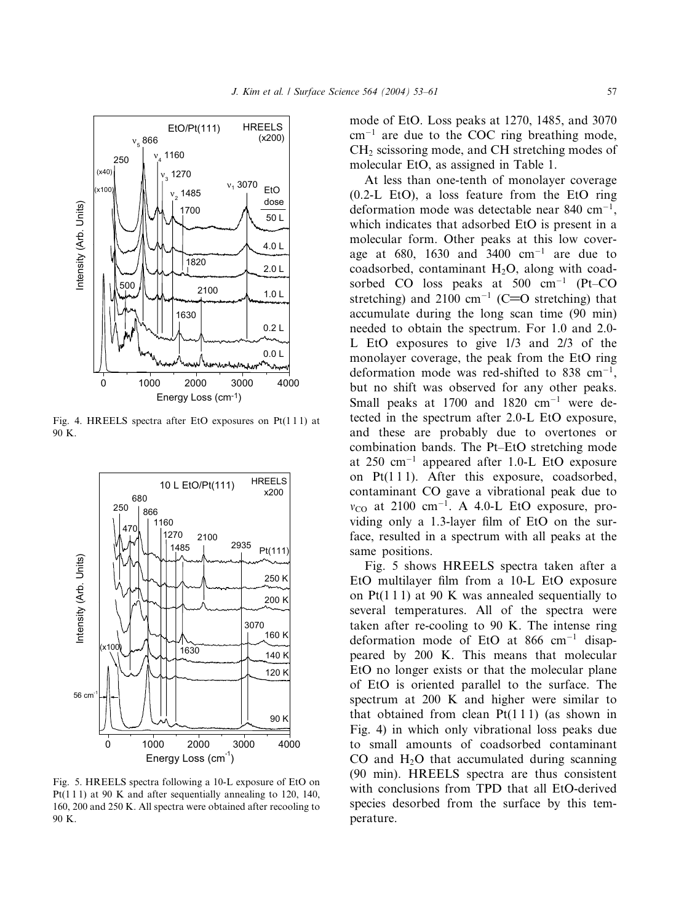

Energy Loss (cm-1)

Fig. 4. HREELS spectra after EtO exposures on Pt(1 1 1) at 90 K.



Fig. 5. HREELS spectra following a 10-L exposure of EtO on Pt(111) at 90 K and after sequentially annealing to 120, 140, 160,200 and 250 K. All spectra were obtained after recooling to 90 K.

mode of EtO. Loss peaks at 1270, 1485, and 3070  $cm^{-1}$  are due to the COC ring breathing mode, CH<sub>2</sub> scissoring mode, and CH stretching modes of molecular EtO, as assigned in Table 1.

At less than one-tenth of monolayer coverage  $(0.2-L)$  EtO), a loss feature from the EtO ring deformation mode was detectable near 840 cm<sup>-1</sup>, which indicates that adsorbed EtO is present in a molecular form. Other peaks at this low coverage at 680, 1630 and  $3400 \text{ cm}^{-1}$  are due to coadsorbed, contaminant  $H_2O$ , along with coadsorbed CO loss peaks at  $500 \text{ cm}^{-1}$  (Pt–CO stretching) and 2100 cm<sup>-1</sup> (C=O stretching) that accumulate during the long scan time (90 min) needed to obtain the spectrum. For 1.0 and 2.0- L EtO exposures to give 1/3 and 2/3 of the monolayer coverage, the peak from the EtO ring deformation mode was red-shifted to 838  $cm^{-1}$ , but no shift was observed for any other peaks. Small peaks at 1700 and 1820  $cm^{-1}$  were detected in the spectrum after 2.0-L EtO exposure, and these are probably due to overtones or combination bands. The Pt–EtO stretching mode at  $250 \text{ cm}^{-1}$  appeared after 1.0-L EtO exposure on  $Pt(111)$ . After this exposure, coadsorbed, contaminant CO gave a vibrational peak due to  $v_{\rm CO}$  at 2100 cm<sup>-1</sup>. A 4.0-L EtO exposure, providing only a 1.3-layer film of EtO on the surface, resulted in a spectrum with all peaks at the same positions.

Fig. 5 shows HREELS spectra taken after a EtO multilayer film from a 10-L EtO exposure on  $Pt(1\ 1\ 1)$  at 90 K was annealed sequentially to several temperatures. All of the spectra were taken after re-cooling to 90 K. The intense ring deformation mode of EtO at 866  $cm^{-1}$  disappeared by 200 K. This means that molecular EtO no longer exists or that the molecular plane of EtO is oriented parallel to the surface. The spectrum at 200 K and higher were similar to that obtained from clean  $Pt(1\ 1\ 1)$  (as shown in Fig. 4) in which only vibrational loss peaks due to small amounts of coadsorbed contaminant  $CO$  and  $H<sub>2</sub>O$  that accumulated during scanning (90 min). HREELS spectra are thus consistent with conclusions from TPD that all EtO-derived species desorbed from the surface by this temperature.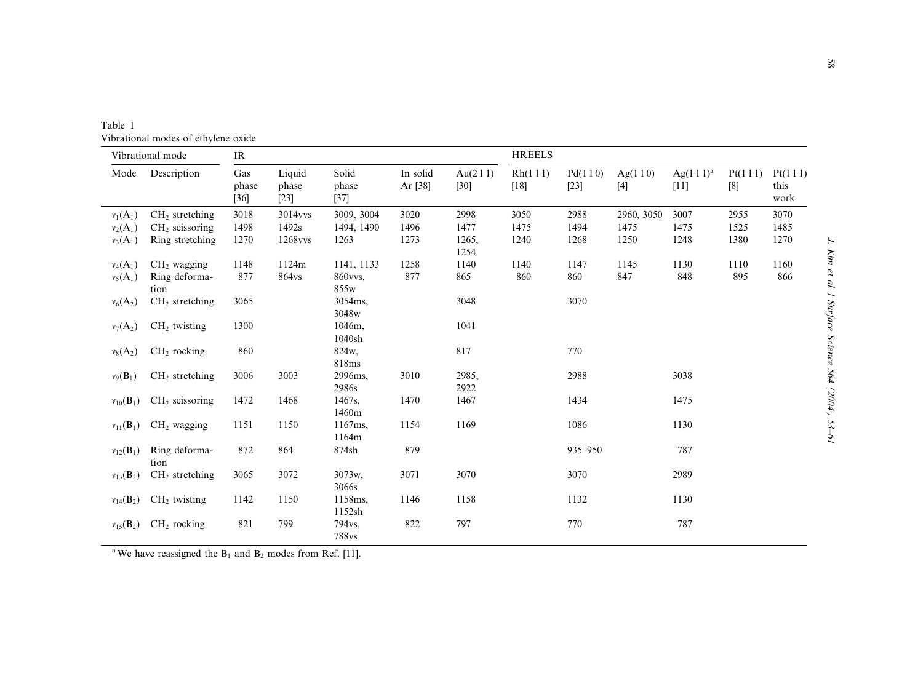| Vibrational mode |                          | IR                     |                           |                          |                     |                   | <b>HREELS</b>     |                   |            |                             |                |                         |
|------------------|--------------------------|------------------------|---------------------------|--------------------------|---------------------|-------------------|-------------------|-------------------|------------|-----------------------------|----------------|-------------------------|
| Mode             | Description              | Gas<br>phase<br>$[36]$ | Liquid<br>phase<br>$[23]$ | Solid<br>phase<br>$[37]$ | In solid<br>Ar [38] | Au(211)<br>$[30]$ | Rh(111)<br>$[18]$ | Pd(110)<br>$[23]$ | Ag(110)    | $Ag(1\ 1\ 1)^{a}$<br>$[11]$ | Pt(111)<br>[8] | Pt(111)<br>this<br>work |
| $v_1(A_1)$       | $CH2$ stretching         | 3018                   | 3014 <sub>vvs</sub>       | 3009, 3004               | 3020                | 2998              | 3050              | 2988              | 2960, 3050 | 3007                        | 2955           | 3070                    |
| $v_2(A_1)$       | $CH2$ scissoring         | 1498                   | 1492s                     | 1494, 1490               | 1496                | 1477              | 1475              | 1494              | 1475       | 1475                        | 1525           | 1485                    |
| $v_3(A_1)$       | Ring stretching          | 1270                   | 1268vvs                   | 1263                     | 1273                | 1265,<br>1254     | 1240              | 1268              | 1250       | 1248                        | 1380           | 1270                    |
| $v_4(A_1)$       | $CH2$ wagging            | 1148                   | 1124m                     | 1141, 1133               | 1258                | 1140              | 1140              | 1147              | 1145       | 1130                        | 1110           | 1160                    |
| $v_5(A_1)$       | Ring deforma-<br>tion    | 877                    | 864vs                     | 860vvs.<br>855w          | 877                 | 865               | 860               | 860               | 847        | 848                         | 895            | 866                     |
| $v_6(A_2)$       | $CH2$ stretching         | 3065                   |                           | 3054ms.<br>3048w         |                     | 3048              |                   | 3070              |            |                             |                |                         |
| $v_7(A_2)$       | $CH2$ twisting           | 1300                   |                           | 1046m,<br>1040sh         |                     | 1041              |                   |                   |            |                             |                |                         |
| $v_8(A_2)$       | $CH2$ rocking            | 860                    |                           | 824w,<br>818ms           |                     | 817               |                   | 770               |            |                             |                |                         |
| $v_9(B_1)$       | $CH2$ stretching         | 3006                   | 3003                      | 2996ms,<br>2986s         | 3010                | 2985,<br>2922     |                   | 2988              |            | 3038                        |                |                         |
| $v_{10}(B_1)$    | $CH2$ scissoring         | 1472                   | 1468                      | 1467s.<br>1460m          | 1470                | 1467              |                   | 1434              |            | 1475                        |                |                         |
| $v_{11}(B_1)$    | $CH2$ wagging            | 1151                   | 1150                      | 1167ms,<br>1164m         | 1154                | 1169              |                   | 1086              |            | 1130                        |                |                         |
| $v_{12}(B_1)$    | Ring deforma-<br>tion    | 872                    | 864                       | 874sh                    | 879                 |                   |                   | 935-950           |            | 787                         |                |                         |
| $v_{13}(B_2)$    | $CH2$ stretching         | 3065                   | 3072                      | 3073w,<br>3066s          | 3071                | 3070              |                   | 3070              |            | 2989                        |                |                         |
| $v_{14}(B_2)$    | CH <sub>2</sub> twisting | 1142                   | 1150                      | 1158ms,<br>1152sh        | 1146                | 1158              |                   | 1132              |            | 1130                        |                |                         |
| $v_{15}(B_2)$    | $CH2$ rocking            | 821                    | 799                       | 794vs.<br>788vs          | 822                 | 797               |                   | 770               |            | 787                         |                |                         |

Table 1 Vibrational modes of ethylene oxide

<sup>a</sup>We have reassigned the  $B_1$  and  $B_2$  modes from Ref. [11].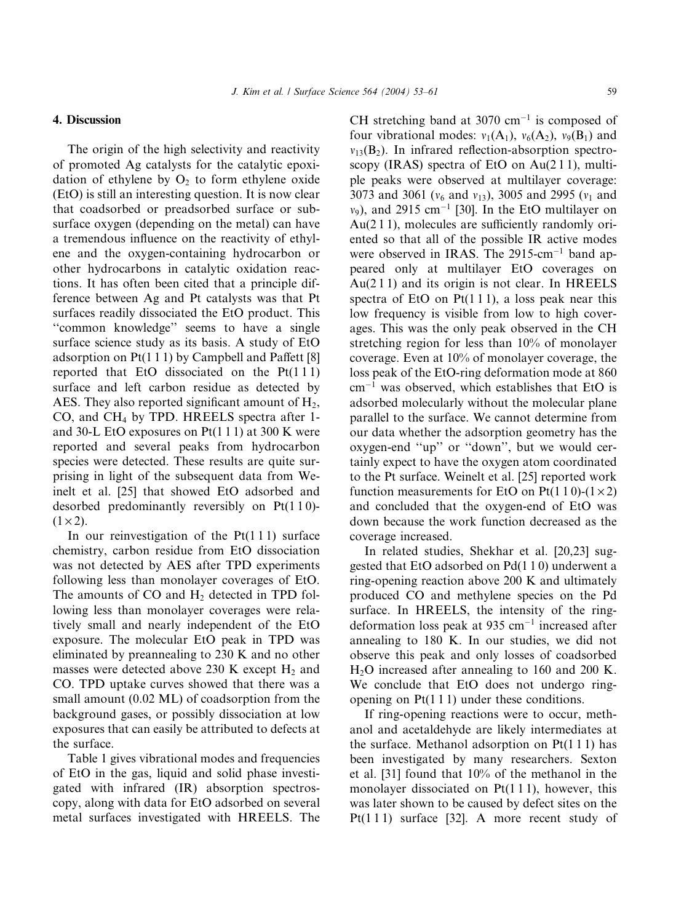## 4. Discussion

The origin of the high selectivity and reactivity of promoted Ag catalysts for the catalytic epoxidation of ethylene by  $O_2$  to form ethylene oxide (EtO) is still an interesting question. It is now clear that coadsorbed or preadsorbed surface or subsurface oxygen (depending on the metal) can have a tremendous influence on the reactivity of ethylene and the oxygen-containing hydrocarbon or other hydrocarbons in catalytic oxidation reactions. It has often been cited that a principle difference between Ag and Pt catalysts was that Pt surfaces readily dissociated the EtO product. This ''common knowledge'' seems to have a single surface science study as its basis. A study of EtO adsorption on Pt(1 1 1) by Campbell and Paffett [8] reported that EtO dissociated on the  $Pt(111)$ surface and left carbon residue as detected by AES. They also reported significant amount of  $H_2$ , CO, and CH<sub>4</sub> by TPD. HREELS spectra after 1and 30-L EtO exposures on  $Pt(1\ 1\ 1)$  at 300 K were reported and several peaks from hydrocarbon species were detected. These results are quite surprising in light of the subsequent data from Weinelt et al. [25] that showed EtO adsorbed and desorbed predominantly reversibly on  $Pt(110)$ - $(1 \times 2)$ .

In our reinvestigation of the  $Pt(111)$  surface chemistry, carbon residue from EtO dissociation was not detected by AES after TPD experiments following less than monolayer coverages of EtO. The amounts of  $CO$  and  $H_2$  detected in TPD following less than monolayer coverages were relatively small and nearly independent of the EtO exposure. The molecular EtO peak in TPD was eliminated by preannealing to 230 K and no other masses were detected above 230 K except  $H_2$  and CO. TPD uptake curves showed that there was a small amount (0.02 ML) of coadsorption from the background gases, or possibly dissociation at low exposures that can easily be attributed to defects at the surface.

Table 1 gives vibrational modes and frequencies of EtO in the gas, liquid and solid phase investigated with infrared (IR) absorption spectroscopy,along with data for EtO adsorbed on several metal surfaces investigated with HREELS. The

CH stretching band at 3070 cm<sup>-1</sup> is composed of four vibrational modes:  $v_1(A_1)$ ,  $v_6(A_2)$ ,  $v_9(B_1)$  and  $v_{13}(B_2)$ . In infrared reflection-absorption spectroscopy (IRAS) spectra of EtO on  $Au(211)$ , multiple peaks were observed at multilayer coverage: 3073 and 3061 ( $v_6$  and  $v_{13}$ ), 3005 and 2995 ( $v_1$  and  $v_9$ ), and 2915 cm<sup>-1</sup> [30]. In the EtO multilayer on  $Au(211)$ , molecules are sufficiently randomly oriented so that all of the possible IR active modes were observed in IRAS. The  $2915$ -cm<sup>-1</sup> band appeared only at multilayer EtO coverages on  $Au(211)$  and its origin is not clear. In HREELS spectra of EtO on Pt $(1\ 1\ 1)$ , a loss peak near this low frequency is visible from low to high coverages. This was the only peak observed in the CH stretching region for less than 10% of monolayer coverage. Even at  $10\%$  of monolayer coverage, the loss peak of the EtO-ring deformation mode at 860  $cm^{-1}$  was observed, which establishes that EtO is adsorbed molecularly without the molecular plane parallel to the surface. We cannot determine from our data whether the adsorption geometry has the oxygen-end "up" or "down", but we would certainly expect to have the oxygen atom coordinated to the Pt surface. Weinelt et al. [25] reported work function measurements for EtO on Pt(1 1 0)-(1  $\times$  2) and concluded that the oxygen-end of EtO was down because the work function decreased as the coverage increased.

In related studies, Shekhar et al. [20,23] suggested that EtO adsorbed on Pd(1 1 0) underwent a ring-opening reaction above 200 K and ultimately produced CO and methylene species on the Pd surface. In HREELS, the intensity of the ringdeformation loss peak at 935  $cm^{-1}$  increased after annealing to 180 K. In our studies, we did not observe this peak and only losses of coadsorbed  $H<sub>2</sub>O$  increased after annealing to 160 and 200 K. We conclude that EtO does not undergo ringopening on  $Pt(1\ 1\ 1)$  under these conditions.

If ring-opening reactions were to occur, methanol and acetaldehyde are likely intermediates at the surface. Methanol adsorption on  $Pt(111)$  has been investigated by many researchers. Sexton et al. [31] found that 10% of the methanol in the monolayer dissociated on  $Pt(1\ 1\ 1)$ , however, this was later shown to be caused by defect sites on the Pt(111) surface [32]. A more recent study of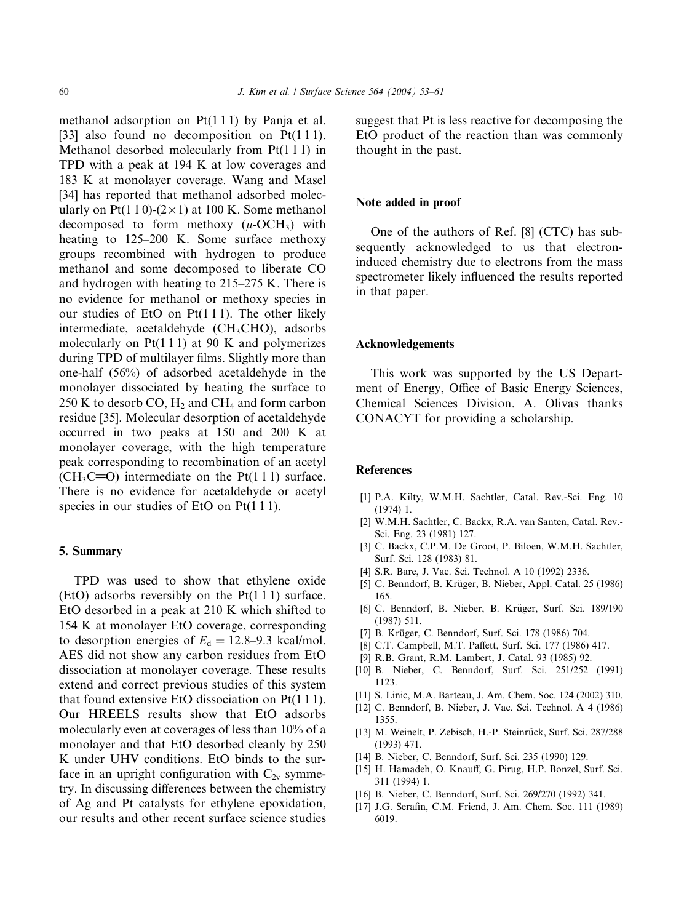methanol adsorption on Pt(1 1 1) by Panja et al. [33] also found no decomposition on  $Pt(111)$ . Methanol desorbed molecularly from Pt(1 1 1) in TPD with a peak at 194 K at low coverages and 183 K at monolayer coverage. Wang and Masel [34] has reported that methanol adsorbed molecularly on Pt(1 1 0)-( $2 \times 1$ ) at 100 K. Some methanol decomposed to form methoxy  $(\mu$ -OCH<sub>3</sub>) with heating to 125–200 K. Some surface methoxy groups recombined with hydrogen to produce methanol and some decomposed to liberate CO and hydrogen with heating to 215–275 K. There is no evidence for methanol or methoxy species in our studies of EtO on  $Pt(111)$ . The other likely intermediate, acetaldehyde ( $CH<sub>3</sub>CHO$ ), adsorbs molecularly on  $Pt(1\ 1\ 1)$  at 90 K and polymerizes during TPD of multilayer films. Slightly more than one-half (56%) of adsorbed acetaldehyde in the monolayer dissociated by heating the surface to 250 K to desorb CO,  $H_2$  and CH<sub>4</sub> and form carbon residue [35]. Molecular desorption of acetaldehyde occurred in two peaks at 150 and 200 K at monolayer coverage, with the high temperature peak corresponding to recombination of an acetyl  $(CH<sub>3</sub>C=O)$  intermediate on the Pt(1 1 1) surface. There is no evidence for acetaldehyde or acetyl species in our studies of EtO on Pt(111).

## 5. Summary

TPD was used to show that ethylene oxide (EtO) adsorbs reversibly on the Pt(1 1 1) surface. EtO desorbed in a peak at 210 K which shifted to 154 K at monolayer EtO coverage, corresponding to desorption energies of  $E_d = 12.8-9.3$  kcal/mol. AES did not show any carbon residues from EtO dissociation at monolayer coverage. These results extend and correct previous studies of this system that found extensive EtO dissociation on Pt(1 1 1). Our HREELS results show that EtO adsorbs molecularly even at coverages of less than 10% of a monolayer and that EtO desorbed cleanly by 250 K under UHV conditions. EtO binds to the surface in an upright configuration with  $C_{2v}$  symmetry. In discussing differences between the chemistry of Ag and Pt catalysts for ethylene epoxidation, our results and other recent surface science studies suggest that Pt is less reactive for decomposing the EtO product of the reaction than was commonly thought in the past.

#### Note added in proof

One of the authors of Ref. [8] (CTC) has subsequently acknowledged to us that electroninduced chemistry due to electrons from the mass spectrometer likely influenced the results reported in that paper.

#### Acknowledgements

This work was supported by the US Department of Energy, Office of Basic Energy Sciences, Chemical Sciences Division. A. Olivas thanks CONACYT for providing a scholarship.

## References

- [1] P.A. Kilty, W.M.H. Sachtler, Catal. Rev.-Sci. Eng. 10 (1974) 1.
- [2] W.M.H. Sachtler, C. Backx, R.A. van Santen, Catal. Rev.-Sci. Eng. 23 (1981) 127.
- [3] C. Backx, C.P.M. De Groot, P. Biloen, W.M.H. Sachtler, Surf. Sci. 128 (1983) 81.
- [4] S.R. Bare,J. Vac. Sci. Technol. A 10 (1992) 2336.
- [5] C. Benndorf, B. Krüger, B. Nieber, Appl. Catal. 25 (1986) 165.
- [6] C. Benndorf, B. Nieber, B. Krüger, Surf. Sci. 189/190 (1987) 511.
- [7] B. Krüger, C. Benndorf, Surf. Sci. 178 (1986) 704.
- [8] C.T. Campbell, M.T. Paffett, Surf. Sci. 177 (1986) 417.
- [9] R.B. Grant, R.M. Lambert, J. Catal. 93 (1985) 92.
- [10] B. Nieber, C. Benndorf, Surf. Sci. 251/252 (1991) 1123.
- [11] S. Linic, M.A. Barteau, J. Am. Chem. Soc. 124 (2002) 310.
- [12] C. Benndorf, B. Nieber, J. Vac. Sci. Technol. A 4 (1986) 1355.
- [13] M. Weinelt, P. Zebisch, H.-P. Steinrück, Surf. Sci. 287/288 (1993) 471.
- [14] B. Nieber, C. Benndorf, Surf. Sci. 235 (1990) 129.
- [15] H. Hamadeh, O. Knauff, G. Pirug, H.P. Bonzel, Surf. Sci. 311 (1994) 1.
- [16] B. Nieber, C. Benndorf, Surf. Sci. 269/270 (1992) 341.
- [17] J.G. Serafin, C.M. Friend, J. Am. Chem. Soc. 111 (1989) 6019.